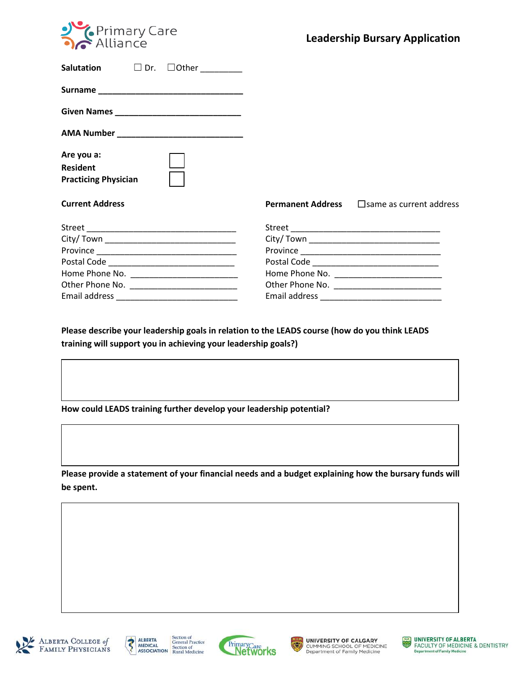

| Salutation $\square$ Dr. $\square$ Other  |                                                         |
|-------------------------------------------|---------------------------------------------------------|
|                                           |                                                         |
|                                           |                                                         |
| AMA Number ______________________________ |                                                         |
| Are you a:                                |                                                         |
| <b>Resident</b>                           |                                                         |
| <b>Practicing Physician</b>               |                                                         |
| <b>Current Address</b>                    | <b>Permanent Address</b> $\Box$ Same as current address |
|                                           |                                                         |
|                                           |                                                         |
|                                           |                                                         |
|                                           |                                                         |
|                                           |                                                         |
|                                           |                                                         |
|                                           |                                                         |

**Please describe your leadership goals in relation to the LEADS course (how do you think LEADS training will support you in achieving your leadership goals?)**

**How could LEADS training further develop your leadership potential?** 

**Please provide a statement of your financial needs and a budget explaining how the bursary funds will be spent.**